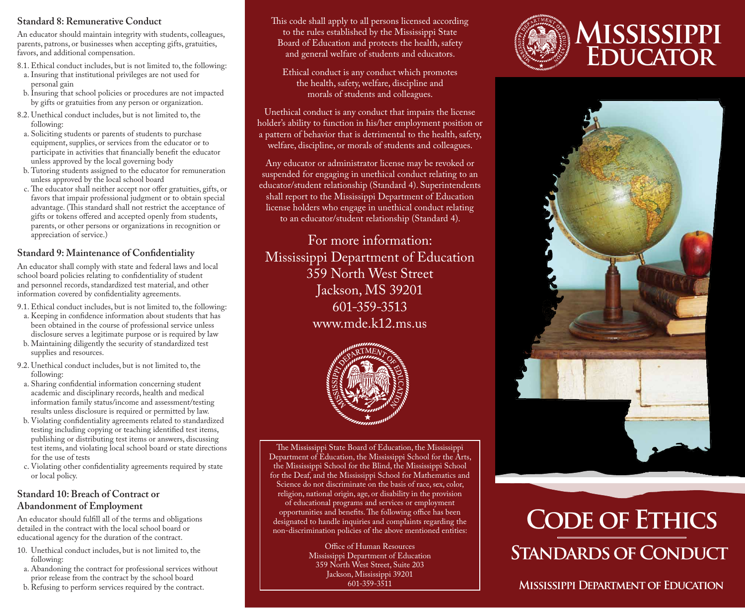#### **Standard 8: Remunerative Conduct**

An educator should maintain integrity with students, colleagues, parents, patrons, or businesses when accepting gifts, gratuities, favors, and additional compensation.

- 8.1. Ethical conduct includes, but is not limited to, the following: a. Insuring that institutional privileges are not used for
- personal gain b. Insuring that school policies or procedures are not impacted by gifts or gratuities from any person or organization.
- 8.2. Unethical conduct includes, but is not limited to, the following:
- a. Soliciting students or parents of students to purchase equipment, supplies, or services from the educator or to participate in activities that financially benefit the educator unless approved by the local governing body
- b. Tutoring students assigned to the educator for remuneration unless approved by the local school board
- c. The educator shall neither accept nor offer gratuities, gifts, or favors that impair professional judgment or to obtain special advantage. (This standard shall not restrict the acceptance of gifts or tokens offered and accepted openly from students, parents, or other persons or organizations in recognition or appreciation of service.)

## **Standard 9: Maintenance of Confidentiality**

An educator shall comply with state and federal laws and local school board policies relating to confidentiality of student and personnel records, standardized test material, and other information covered by confidentiality agreements.

- 9.1. Ethical conduct includes, but is not limited to, the following:
- a. Keeping in confidence information about students that has
- been obtained in the course of professional service unless disclosure serves a legitimate purpose or is required by law
- b. Maintaining diligently the security of standardized test supplies and resources.
- 9.2. Unethical conduct includes, but is not limited to, the following:
- a. Sharing confidential information concerning student academic and disciplinary records, health and medical information family status/income and assessment/testing results unless disclosure is required or permitted by law.
- b. Violating confidentiality agreements related to standardized testing including copying or teaching identified test items, publishing or distributing test items or answers, discussing test items, and violating local school board or state directions for the use of tests
- c. Violating other confidentiality agreements required by state or local policy.

#### **Standard 10: Breach of Contract or Abandonment of Employment**

An educator should fulfill all of the terms and obligations detailed in the contract with the local school board or educational agency for the duration of the contract.

- 10. Unethical conduct includes, but is not limited to, the following:
- a. Abandoning the contract for professional services without prior release from the contract by the school board
- b. Refusing to perform services required by the contract.

This code shall apply to all persons licensed according to the rules established by the Mississippi State Board of Education and protects the health, safety and general welfare of students and educators.

Ethical conduct is any conduct which promotes the health, safety, welfare, discipline and morals of students and colleagues.

Unethical conduct is any conduct that impairs the license holder's ability to function in his/her employment position or a pattern of behavior that is detrimental to the health, safety, welfare, discipline, or morals of students and colleagues.

Any educator or administrator license may be revoked or suspended for engaging in unethical conduct relating to an educator/student relationship (Standard 4). Superintendents shall report to the Mississippi Department of Education license holders who engage in unethical conduct relating to an educator/student relationship (Standard 4).

For more information: Mississippi Department of Education 359 North West Street Jackson, MS 39201 601-359-3513 www.mde.k12.ms.us



The Mississippi State Board of Education, the Mississippi Department of Education, the Mississippi School for the Arts, the Mississippi School for the Blind, the Mississippi School for the Deaf, and the Mississippi School for Mathematics and Science do not discriminate on the basis of race, sex, color, religion, national origin, age, or disability in the provision of educational programs and services or employment opportunities and benefits. The following office has been

designated to handle inquiries and complaints regarding the non-discrimination policies of the above mentioned entities:

> Office of Human Resources Mississippi Department of Education 359 North West Street, Suite 203 Jackson, Mississippi 39201 601-359-3511





# **Standards of Conduct Code of Ethics**

# **Mississippi Department of Education**